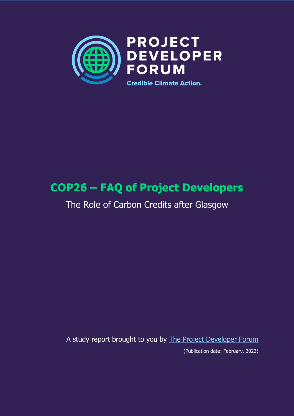

# **COP26 – FAQ of Project Developers**

## The Role of Carbon Credits after Glasgow

A study report brought to you by [The Project Developer Forum](https://www.pd-forum.net/)

(Publication date: February, 2022)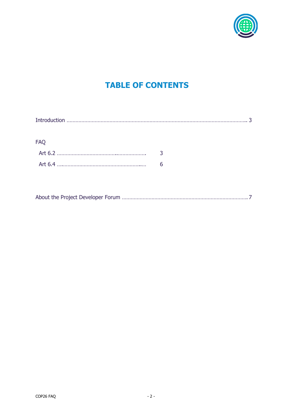

## **TABLE OF CONTENTS**

| <b>FAQ</b> |   |
|------------|---|
|            |   |
|            | 6 |
|            |   |
|            |   |

|--|--|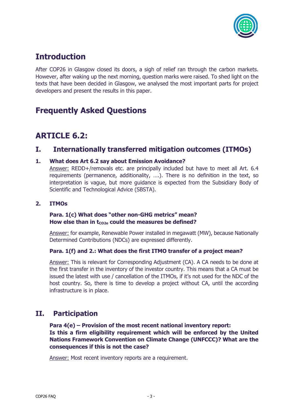

## **Introduction**

After COP26 in Glasgow closed its doors, a sigh of relief ran through the carbon markets. However, after waking up the next morning, question marks were raised. To shed light on the texts that have been decided in Glasgow, we analysed the most important parts for project developers and present the results in this paper.

## **Frequently Asked Questions**

## **ARTICLE 6.2:**

### **I. Internationally transferred mitigation outcomes (ITMOs)**

#### **1. What does Art 6.2 say about Emission Avoidance?**

Answer: REDD+/removals etc. are principally included but have to meet all Art. 6.4 requirements (permanence, additionality, ….). There is no definition in the text, so interpretation is vague, but more guidance is expected from the Subsidiary Body of Scientific and Technological Advice (SBSTA).

#### **2. ITMOs**

#### **Para. 1(c) What does "other non-GHG metrics" mean?** How else than in t<sub>co2e</sub> could the measures be defined?

Answer: for example, Renewable Power installed in megawatt (MW), because Nationally Determined Contributions (NDCs) are expressed differently.

#### **Para. 1(f) and 2.: What does the first ITMO transfer of a project mean?**

Answer: This is relevant for Corresponding Adjustment (CA). A CA needs to be done at the first transfer in the inventory of the investor country. This means that a CA must be issued the latest with use / cancellation of the ITMOs, if it's not used for the NDC of the host country. So, there is time to develop a project without CA, until the according infrastructure is in place.

### **II. Participation**

**Para 4(e) – Provision of the most recent national inventory report: Is this a firm eligibility requirement which will be enforced by the United Nations Framework Convention on Climate Change (UNFCCC)? What are the consequences if this is not the case?** 

Answer: Most recent inventory reports are a requirement.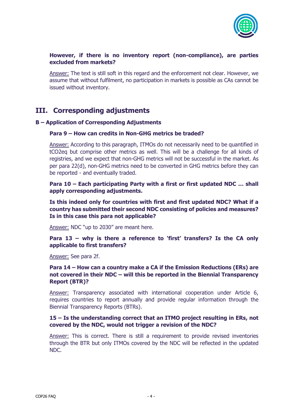

#### **However, if there is no inventory report (non-compliance), are parties excluded from markets?**

Answer: The text is still soft in this regard and the enforcement not clear. However, we assume that without fulfilment, no participation in markets is possible as CAs cannot be issued without inventory.

## **III. Corresponding adjustments**

#### **B – Application of Corresponding Adjustments**

#### **Para 9 – How can credits in Non-GHG metrics be traded?**

Answer: According to this paragraph, ITMOs do not necessarily need to be quantified in tCO2eq but comprise other metrics as well. This will be a challenge for all kinds of registries, and we expect that non-GHG metrics will not be successful in the market. As per para 22(d), non-GHG metrics need to be converted in GHG metrics before they can be reported - and eventually traded.

**Para 10 – Each participating Party with a first or first updated NDC … shall apply corresponding adjustments.** 

**Is this indeed only for countries with first and first updated NDC? What if a country has submitted their second NDC consisting of policies and measures? Is in this case this para not applicable?** 

Answer: NDC "up to 2030" are meant here.

**Para 13 – why is there a reference to 'first' transfers? Is the CA only applicable to first transfers?** 

Answer: See para 2f.

#### **Para 14 – How can a country make a CA if the Emission Reductions (ERs) are not covered in their NDC – will this be reported in the Biennial Transparency Report (BTR)?**

Answer: Transparency associated with international cooperation under Article 6, requires countries to report annually and provide regular information through the Biennial Transparency Reports (BTRs).

#### **15 – Is the understanding correct that an ITMO project resulting in ERs, not covered by the NDC, would not trigger a revision of the NDC?**

Answer: This is correct. There is still a requirement to provide revised inventories through the BTR but only ITMOs covered by the NDC will be reflected in the updated NDC.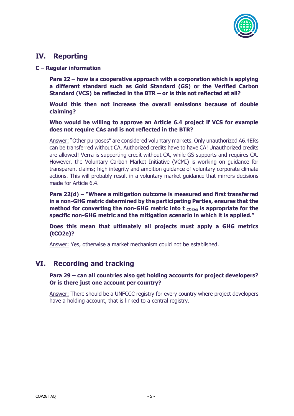

### **IV. Reporting**

**C – Regular information**

**Para 22 – how is a cooperative approach with a corporation which is applying a different standard such as Gold Standard (GS) or the Verified Carbon Standard (VCS) be reflected in the BTR – or is this not reflected at all?** 

**Would this then not increase the overall emissions because of double claiming?** 

**Who would be willing to approve an Article 6.4 project if VCS for example does not require CAs and is not reflected in the BTR?** 

Answer: "Other purposes" are considered voluntary markets. Only unauthorized A6.4ERs can be transferred without CA. Authorized credits have to have CA! Unauthorized credits are allowed! Verra is supporting credit without CA, while GS supports and requires CA. However, the Voluntary Carbon Market Initiative (VCMI) is working on guidance for transparent claims; high integrity and ambition guidance of voluntary corporate climate actions. This will probably result in a voluntary market guidance that mirrors decisions made for Article 6.4.

**Para 22(d) – "Where a mitigation outcome is measured and first transferred in a non-GHG metric determined by the participating Parties, ensures that the method for converting the non-GHG metric into t**  $_{\text{co2ea}}$  **is appropriate for the specific non-GHG metric and the mitigation scenario in which it is applied."**

**Does this mean that ultimately all projects must apply a GHG metrics (tCO2e)?**

Answer: Yes, otherwise a market mechanism could not be established.

### **VI. Recording and tracking**

#### **Para 29 – can all countries also get holding accounts for project developers? Or is there just one account per country?**

Answer: There should be a UNFCCC registry for every country where project developers have a holding account, that is linked to a central registry.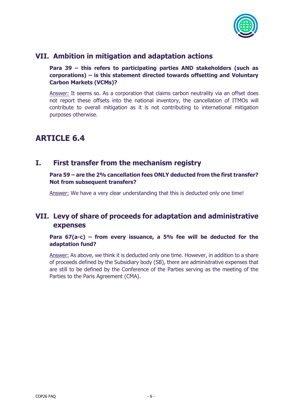

### **VII. Ambition in mitigation and adaptation actions**

**Para 39 – this refers to participating parties AND stakeholders (such as corporations) – is this statement directed towards offsetting and Voluntary Carbon Markets (VCMs)?**

Answer: It seems so. As a corporation that claims carbon neutrality via an offset does not report these offsets into the national inventory, the cancellation of ITMOs will contribute to overall mitigation as it is not contributing to international mitigation purposes otherwise.

## **ARTICLE 6.4**

### **I. First transfer from the mechanism registry**

**Para 59 – are the 2% cancellation fees ONLY deducted from the first transfer? Not from subsequent transfers?**

Answer: We have a very clear understanding that this is deducted only one time!

## **VII. Levy of share of proceeds for adaptation and administrative expenses**

**Para 67(a-c) – from every issuance, a 5% fee will be deducted for the adaptation fund?**

Answer: As above, we think it is deducted only one time. However, in addition to a share of proceeds defined by the Subsidiary body (SB), there are administrative expenses that are still to be defined by the Conference of the Parties serving as the meeting of the Parties to the Paris Agreement (CMA).